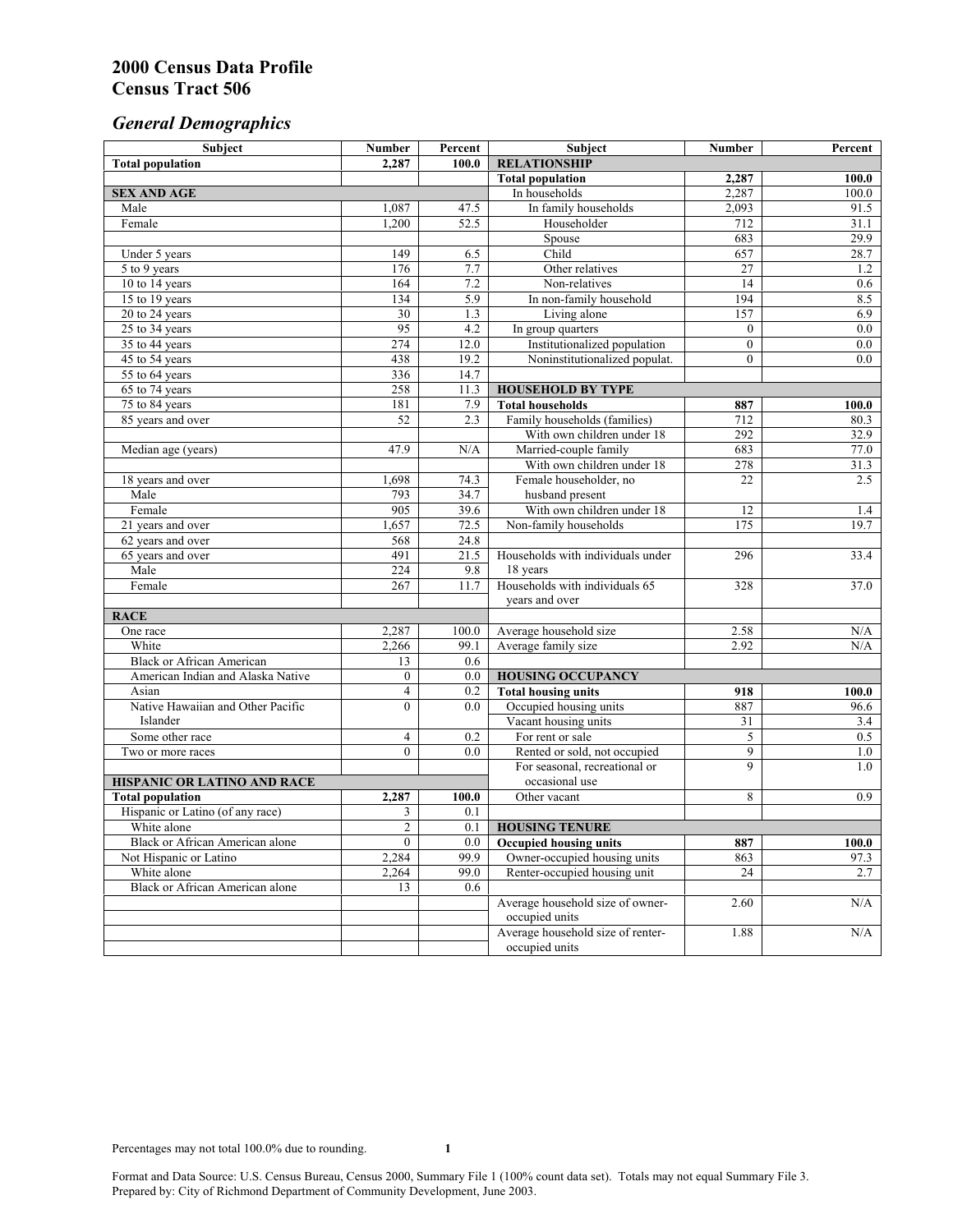# *General Demographics*

| Subject                                | <b>Number</b>    | Percent           | Subject                                             | Number          | Percent      |
|----------------------------------------|------------------|-------------------|-----------------------------------------------------|-----------------|--------------|
| <b>Total population</b>                | 2,287            | 100.0             | <b>RELATIONSHIP</b>                                 |                 |              |
|                                        |                  |                   | <b>Total population</b>                             | 2,287           | 100.0        |
| <b>SEX AND AGE</b>                     |                  |                   | In households                                       | 2,287           | 100.0        |
| Male                                   | 1,087            | 47.5              | In family households                                | 2,093           | 91.5         |
| Female                                 | 1,200            | 52.5              | Householder                                         | 712             | 31.1         |
|                                        |                  |                   | Spouse                                              | 683             | 29.9         |
| Under 5 years                          | 149              | 6.5               | Child                                               | 657             | 28.7         |
| 5 to 9 years                           | 176              | 7.7               | Other relatives                                     | $\overline{27}$ | 1.2          |
| 10 to 14 years                         | 164              | 7.2               | Non-relatives                                       | 14              | 0.6          |
| 15 to 19 years                         | 134              | 5.9               | In non-family household                             | 194             | 8.5          |
| 20 to 24 years                         | $\overline{30}$  | 1.3               | Living alone                                        | 157             | 6.9          |
| 25 to 34 years                         | 95               | 4.2               | In group quarters                                   | $\overline{0}$  | 0.0          |
| 35 to 44 years                         | 274              | 12.0              | Institutionalized population                        | $\mathbf{0}$    | 0.0          |
| 45 to 54 years                         | 438              | 19.2              | Noninstitutionalized populat.                       | $\overline{0}$  | 0.0          |
| 55 to 64 years                         | 336              | 14.7              |                                                     |                 |              |
| 65 to 74 years                         | 258              | $11.\overline{3}$ | <b>HOUSEHOLD BY TYPE</b><br><b>Total households</b> |                 |              |
| 75 to 84 years                         | 181<br>52        | 7.9<br>2.3        | Family households (families)                        | 887<br>712      | 100.0        |
| 85 years and over                      |                  |                   |                                                     | 292             | 80.3<br>32.9 |
| Median age (years)                     | 47.9             | N/A               | With own children under 18<br>Married-couple family | 683             | 77.0         |
|                                        |                  |                   | With own children under 18                          | 278             | 31.3         |
| 18 years and over                      | 1,698            | 74.3              | Female householder, no                              | 22              | 2.5          |
| Male                                   | 793              | 34.7              | husband present                                     |                 |              |
| Female                                 | 905              | 39.6              | With own children under 18                          | 12              | 1.4          |
| 21 years and over                      | 1,657            | 72.5              | Non-family households                               | 175             | 19.7         |
| 62 years and over                      | 568              | 24.8              |                                                     |                 |              |
| 65 years and over                      | 491              | 21.5              | Households with individuals under                   | 296             | 33.4         |
| Male                                   | 224              | 9.8               | 18 years                                            |                 |              |
| Female                                 | 267              | 11.7              | Households with individuals 65                      | 328             | 37.0         |
|                                        |                  |                   | years and over                                      |                 |              |
| <b>RACE</b>                            |                  |                   |                                                     |                 |              |
| One race                               | 2,287            | 100.0             | Average household size                              | 2.58            | N/A          |
| White                                  | 2,266            | 99.1              | Average family size                                 | 2.92            | N/A          |
| <b>Black or African American</b>       | 13               | 0.6               |                                                     |                 |              |
| American Indian and Alaska Native      | $\boldsymbol{0}$ | 0.0               | <b>HOUSING OCCUPANCY</b>                            |                 |              |
| Asian                                  | $\overline{4}$   | 0.2               | <b>Total housing units</b>                          | 918             | 100.0        |
| Native Hawaiian and Other Pacific      | $\theta$         | 0.0               | Occupied housing units                              | 887             | 96.6         |
| Islander                               |                  |                   | Vacant housing units                                | 31              | 3.4          |
| Some other race                        | $\overline{4}$   | 0.2               | For rent or sale                                    | 5               | 0.5          |
| Two or more races                      | $\theta$         | 0.0               | Rented or sold, not occupied                        | 9               | 1.0          |
|                                        |                  |                   | For seasonal, recreational or                       | $\overline{9}$  | 1.0          |
| <b>HISPANIC OR LATINO AND RACE</b>     |                  |                   | occasional use                                      |                 |              |
| <b>Total population</b>                | 2,287            | 100.0             | Other vacant                                        | 8               | 0.9          |
| Hispanic or Latino (of any race)       | 3                | 0.1               |                                                     |                 |              |
| White alone                            | $\overline{c}$   | 0.1               | <b>HOUSING TENURE</b>                               |                 |              |
| Black or African American alone        | $\mathbf{0}$     | 0.0               | <b>Occupied housing units</b>                       | 887             | 100.0        |
| Not Hispanic or Latino                 | 2,284            | 99.9              | Owner-occupied housing units                        | 863             | 97.3         |
| White alone                            | 2,264            | 99.0              | Renter-occupied housing unit                        | 24              | 2.7          |
| <b>Black or African American alone</b> | 13               | 0.6               |                                                     |                 |              |
|                                        |                  |                   | Average household size of owner-                    | 2.60            | N/A          |
|                                        |                  |                   | occupied units                                      |                 |              |
|                                        |                  |                   | Average household size of renter-                   | 1.88            | N/A          |
|                                        |                  |                   | occupied units                                      |                 |              |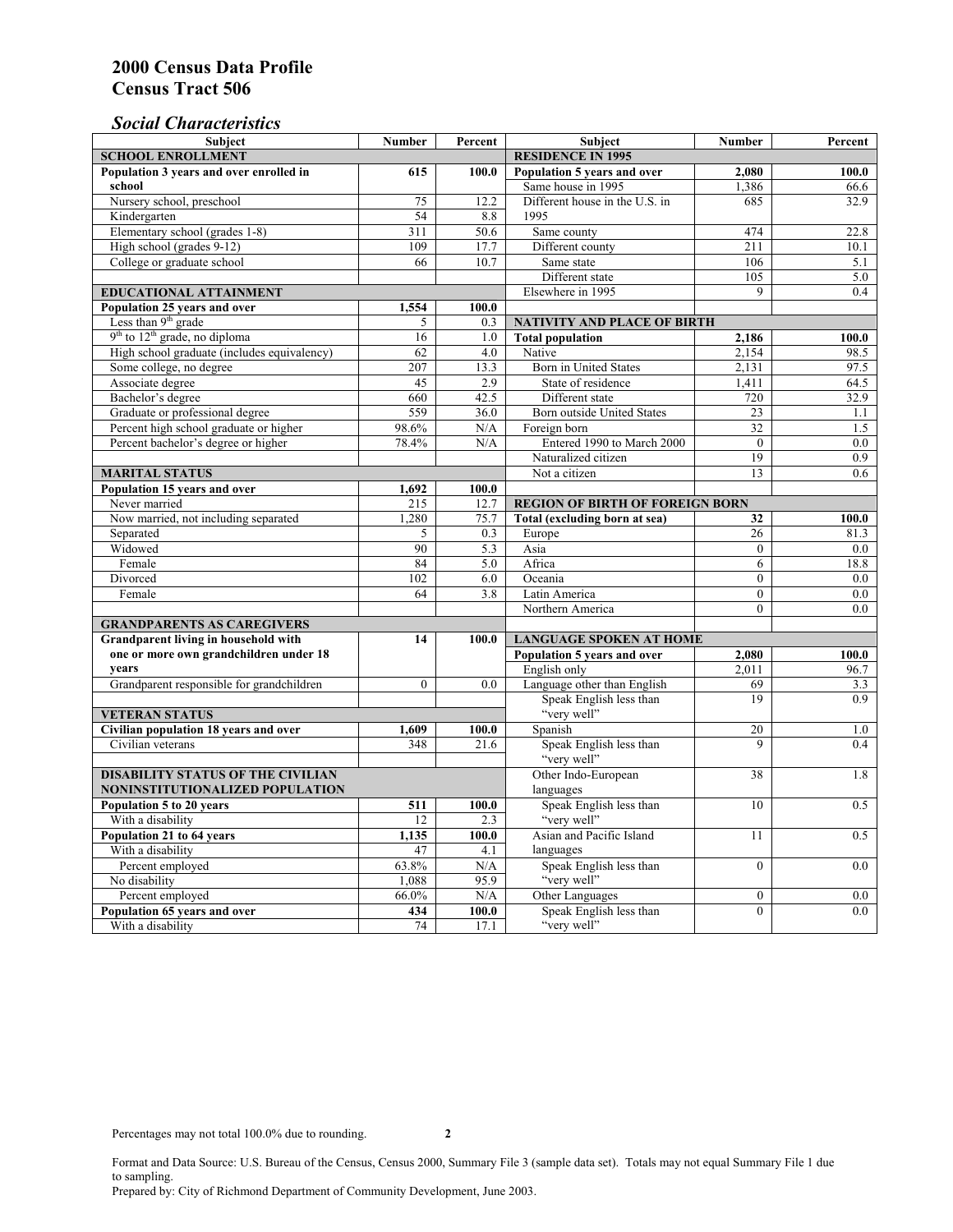## *Social Characteristics*

| <b>Subject</b>                              | <b>Number</b>            | Percent | <b>Subject</b>                         | <b>Number</b>    | Percent          |
|---------------------------------------------|--------------------------|---------|----------------------------------------|------------------|------------------|
| <b>SCHOOL ENROLLMENT</b>                    | <b>RESIDENCE IN 1995</b> |         |                                        |                  |                  |
| Population 3 years and over enrolled in     | 615                      | 100.0   | Population 5 years and over            | 2,080            | 100.0            |
| school                                      |                          |         | Same house in 1995                     | 1,386            | 66.6             |
| Nursery school, preschool                   | 75                       | 12.2    | Different house in the U.S. in         | 685              | 32.9             |
| Kindergarten                                | 54                       | 8.8     | 1995                                   |                  |                  |
| Elementary school (grades 1-8)              | 311                      | 50.6    | Same county                            | 474              | 22.8             |
| High school (grades 9-12)                   | 109                      | 17.7    | Different county                       | 211              | 10.1             |
| College or graduate school                  | 66                       | 10.7    | Same state                             | 106              | 5.1              |
|                                             |                          |         | Different state                        | 105              | 5.0              |
| EDUCATIONAL ATTAINMENT                      |                          |         | Elsewhere in 1995                      | 9                | 0.4              |
| Population 25 years and over                | 1,554                    | 100.0   |                                        |                  |                  |
| Less than 9 <sup>th</sup> grade             | 5                        | 0.3     | <b>NATIVITY AND PLACE OF BIRTH</b>     |                  |                  |
| $9th$ to $12th$ grade, no diploma           | 16                       | 1.0     | <b>Total population</b>                | 2,186            | 100.0            |
| High school graduate (includes equivalency) | 62                       | 4.0     | Native                                 | 2,154            | 98.5             |
| Some college, no degree                     | 207                      | 13.3    | Born in United States                  | 2,131            | 97.5             |
| Associate degree                            | 45                       | 2.9     | State of residence                     | 1,411            | 64.5             |
| Bachelor's degree                           | 660                      | 42.5    | Different state                        | 720              | 32.9             |
| Graduate or professional degree             | 559                      | 36.0    | <b>Born outside United States</b>      | 23               | 1.1              |
| Percent high school graduate or higher      | 98.6%                    | N/A     | Foreign born                           | 32               | 1.5              |
| Percent bachelor's degree or higher         | 78.4%                    | N/A     | Entered 1990 to March 2000             | $\mathbf{0}$     | 0.0              |
|                                             |                          |         | Naturalized citizen                    | $\overline{19}$  | $\overline{0.9}$ |
| <b>MARITAL STATUS</b>                       | Not a citizen            | 13      | 0.6                                    |                  |                  |
| Population 15 years and over                | 1.692                    | 100.0   |                                        |                  |                  |
| Never married                               | 215                      | 12.7    | <b>REGION OF BIRTH OF FOREIGN BORN</b> |                  |                  |
| Now married, not including separated        | 1,280                    | 75.7    | Total (excluding born at sea)          | 32               | 100.0            |
| Separated                                   | 5                        | 0.3     | Europe                                 | 26               | 81.3             |
| Widowed                                     | 90                       | 5.3     | Asia                                   | $\theta$         | $0.0\,$          |
| Female                                      | 84                       | 5.0     | Africa                                 | 6                | 18.8             |
| Divorced                                    | 102                      | 6.0     | Oceania                                | $\mathbf{0}$     | 0.0              |
| Female                                      | 64                       | 3.8     | Latin America                          | $\mathbf{0}$     | 0.0              |
|                                             |                          |         | Northern America                       | $\theta$         | 0.0              |
| <b>GRANDPARENTS AS CAREGIVERS</b>           |                          |         |                                        |                  |                  |
| Grandparent living in household with        | 14                       | 100.0   | <b>LANGUAGE SPOKEN AT HOME</b>         |                  |                  |
| one or more own grandchildren under 18      |                          |         | Population 5 years and over            | 2,080            | 100.0            |
| years                                       |                          |         | English only                           | 2,011            | 96.7             |
| Grandparent responsible for grandchildren   | $\theta$                 | 0.0     | Language other than English            | 69               | 3.3              |
|                                             |                          |         | Speak English less than                | 19               | 0.9              |
| <b>VETERAN STATUS</b>                       |                          |         | "very well"                            |                  |                  |
| Civilian population 18 years and over       | 1,609                    | 100.0   | Spanish                                | 20               | 1.0              |
| Civilian veterans                           | 348                      | 21.6    | Speak English less than<br>"very well" | 9                | 0.4              |
| <b>DISABILITY STATUS OF THE CIVILIAN</b>    |                          |         | Other Indo-European                    | 38               | 1.8              |
| NONINSTITUTIONALIZED POPULATION             | languages                |         |                                        |                  |                  |
| Population 5 to 20 years                    | 511                      | 100.0   | Speak English less than                | 10               | 0.5              |
| With a disability                           | 12                       | 2.3     | "very well"                            |                  |                  |
| Population 21 to 64 years                   | 1,135                    | 100.0   | Asian and Pacific Island               | 11               | 0.5              |
| With a disability                           | 47                       | 4.1     | languages                              |                  |                  |
| Percent employed                            | 63.8%                    | N/A     | Speak English less than                | $\mathbf{0}$     | 0.0              |
| No disability                               | 1,088                    | 95.9    | "very well"                            |                  |                  |
| Percent employed                            | 66.0%                    | N/A     | Other Languages                        | $\boldsymbol{0}$ | $0.0\,$          |
| Population 65 years and over                | 434                      | 100.0   | Speak English less than                | $\mathbf{0}$     | 0.0              |
| With a disability                           | 74                       | 17.1    | "very well"                            |                  |                  |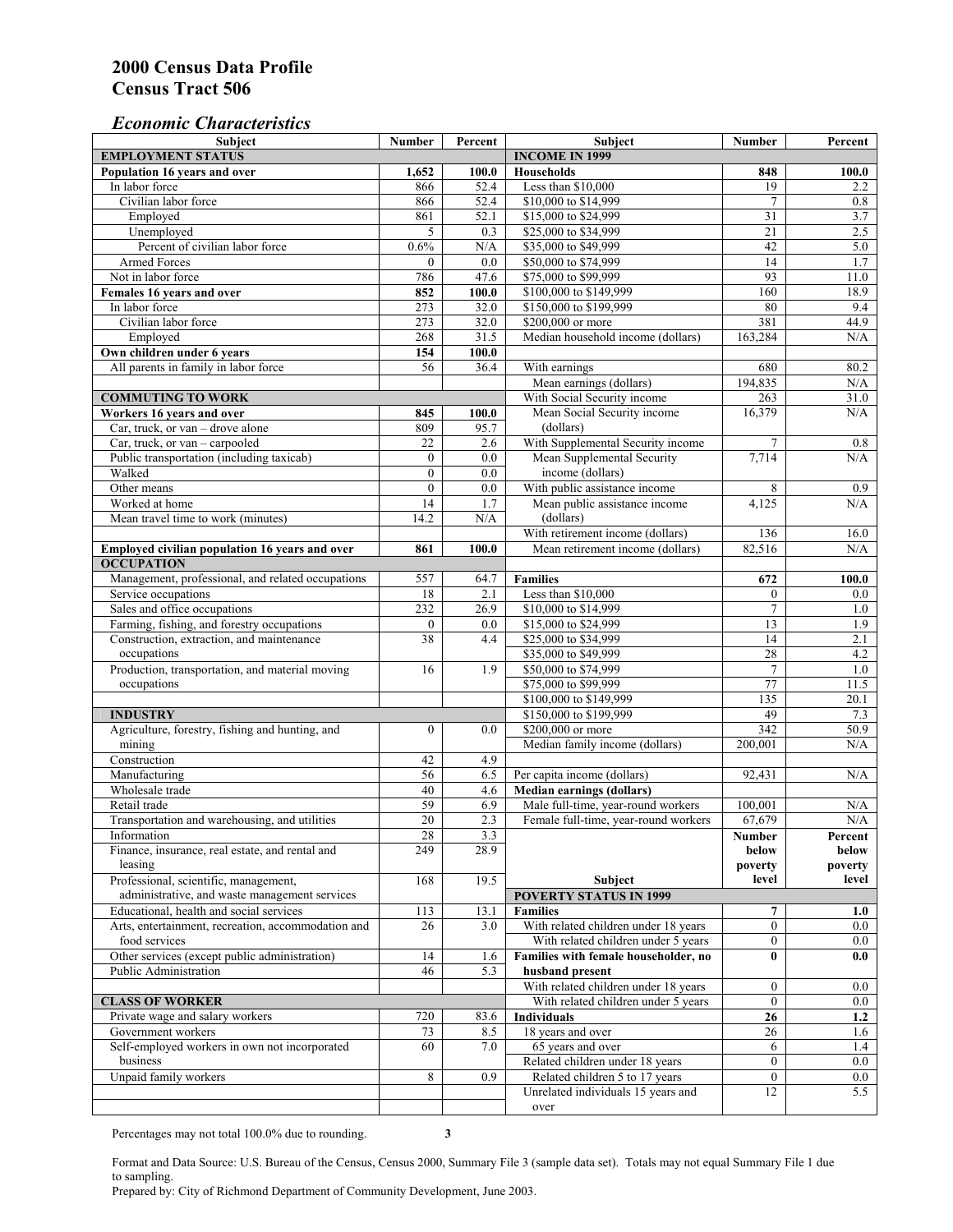## *Economic Characteristics*

| <b>Subject</b>                                     | Number           | Percent | Subject                              | Number         | Percent |
|----------------------------------------------------|------------------|---------|--------------------------------------|----------------|---------|
| <b>EMPLOYMENT STATUS</b>                           |                  |         | <b>INCOME IN 1999</b>                |                |         |
| Population 16 years and over                       | 1,652            | 100.0   | <b>Households</b>                    | 848            | 100.0   |
| In labor force                                     | 866              | 52.4    | Less than \$10,000                   | 19             | 2.2     |
| Civilian labor force                               | 866              | 52.4    | \$10,000 to \$14,999                 | $\overline{7}$ | 0.8     |
| Employed                                           | 861              | 52.1    | \$15,000 to \$24,999                 | 31             | 3.7     |
| Unemployed                                         | 5                | 0.3     | \$25,000 to \$34,999                 | 21             | 2.5     |
| Percent of civilian labor force                    | $0.6\%$          | N/A     | \$35,000 to \$49,999                 | 42             | 5.0     |
| Armed Forces                                       | $\mathbf{0}$     | 0.0     | \$50,000 to \$74,999                 | 14             | 1.7     |
| Not in labor force                                 | 786              | 47.6    | \$75,000 to \$99,999                 | 93             | 11.0    |
| Females 16 years and over                          | 852              | 100.0   | \$100,000 to \$149,999               | 160            | 18.9    |
| In labor force                                     | 273              | 32.0    | \$150,000 to \$199,999               | 80             | 9.4     |
| Civilian labor force                               | 273              | 32.0    | \$200,000 or more                    | 381            | 44.9    |
| Employed                                           | 268              | 31.5    | Median household income (dollars)    | 163,284        | N/A     |
| Own children under 6 years                         | 154              | 100.0   |                                      |                |         |
| All parents in family in labor force               | 56               | 36.4    | With earnings                        | 680            | 80.2    |
|                                                    |                  |         | Mean earnings (dollars)              | 194,835        | N/A     |
| <b>COMMUTING TO WORK</b>                           |                  |         | With Social Security income          | 263            | 31.0    |
| Workers 16 years and over                          | 845              | 100.0   | Mean Social Security income          | 16,379         | N/A     |
| Car, truck, or van – drove alone                   | 809              | 95.7    | (dollars)                            |                |         |
| Car, truck, or van - carpooled                     | 22               | 2.6     | With Supplemental Security income    | 7              | 0.8     |
| Public transportation (including taxicab)          | $\mathbf{0}$     | 0.0     | Mean Supplemental Security           | 7,714          | N/A     |
| Walked                                             | $\boldsymbol{0}$ | 0.0     | income (dollars)                     |                |         |
| Other means                                        | $\boldsymbol{0}$ | 0.0     | With public assistance income        | 8              | 0.9     |
| Worked at home                                     | 14               | 1.7     | Mean public assistance income        | 4,125          | N/A     |
|                                                    |                  |         | (dollars)                            |                |         |
| Mean travel time to work (minutes)                 | 14.2             | N/A     |                                      |                |         |
|                                                    |                  |         | With retirement income (dollars)     | 136            | 16.0    |
| Employed civilian population 16 years and over     | 861              | 100.0   | Mean retirement income (dollars)     | 82,516         | N/A     |
| <b>OCCUPATION</b>                                  |                  |         |                                      |                |         |
| Management, professional, and related occupations  | 557              | 64.7    | <b>Families</b>                      | 672            | 100.0   |
| Service occupations                                | 18               | 2.1     | Less than \$10,000                   | $\mathbf{0}$   | $0.0\,$ |
| Sales and office occupations                       | 232              | 26.9    | \$10,000 to \$14,999                 | $\overline{7}$ | 1.0     |
| Farming, fishing, and forestry occupations         | $\boldsymbol{0}$ | 0.0     | \$15,000 to \$24,999                 | 13             | 1.9     |
| Construction, extraction, and maintenance          | 38               | 4.4     | \$25,000 to \$34,999                 | 14             | 2.1     |
| occupations                                        |                  |         | \$35,000 to \$49,999                 | 28             | 4.2     |
| Production, transportation, and material moving    | 16               | 1.9     | \$50,000 to \$74,999                 | $\tau$         | 1.0     |
| occupations                                        |                  |         | \$75,000 to \$99,999                 | 77             | 11.5    |
|                                                    |                  |         | \$100,000 to \$149,999               | 135            | 20.1    |
| <b>INDUSTRY</b>                                    |                  |         | \$150,000 to \$199,999               | 49             | 7.3     |
| Agriculture, forestry, fishing and hunting, and    | $\boldsymbol{0}$ | 0.0     | \$200,000 or more                    | 342            | 50.9    |
| mining                                             |                  |         | Median family income (dollars)       | 200,001        | N/A     |
| Construction                                       | 42               | 4.9     |                                      |                |         |
| Manufacturing                                      | 56               | 6.5     | Per capita income (dollars)          | 92,431         | N/A     |
| Wholesale trade                                    | 40               | 4.6     | <b>Median earnings (dollars)</b>     |                |         |
| Retail trade                                       | 59               | 6.9     | Male full-time, year-round workers   | 100.001        | N/A     |
| Transportation and warehousing, and utilities      | 20               | 2.3     | Female full-time, year-round workers | 67,679         | N/A     |
| Information                                        | 28               | 3.3     |                                      | Number         | Percent |
| Finance, insurance, real estate, and rental and    | 249              | 28.9    |                                      | below          | below   |
| leasing                                            |                  |         |                                      | poverty        | poverty |
| Professional, scientific, management,              | 168              | 19.5    | Subject                              | level          | level   |
| administrative, and waste management services      |                  |         | <b>POVERTY STATUS IN 1999</b>        |                |         |
| Educational, health and social services            | 113              | 13.1    | <b>Families</b>                      | 7              | 1.0     |
| Arts, entertainment, recreation, accommodation and | 26               | 3.0     | With related children under 18 years | $\overline{0}$ | $0.0\,$ |
| food services                                      |                  |         | With related children under 5 years  | $\mathbf{0}$   | $0.0\,$ |
| Other services (except public administration)      | 14               | 1.6     | Families with female householder, no | $\bf{0}$       | 0.0     |
| Public Administration                              | 46               | 5.3     | husband present                      |                |         |
|                                                    |                  |         | With related children under 18 years | $\overline{0}$ | $0.0\,$ |
| <b>CLASS OF WORKER</b>                             |                  |         | With related children under 5 years  | $\overline{0}$ | $0.0\,$ |
| Private wage and salary workers                    | 720              | 83.6    | Individuals                          | 26             | 1.2     |
| Government workers                                 | 73               | 8.5     | 18 years and over                    | 26             | 1.6     |
| Self-employed workers in own not incorporated      | 60               | 7.0     | 65 years and over                    | 6              | 1.4     |
| business                                           |                  |         | Related children under 18 years      | $\overline{0}$ | $0.0\,$ |
| Unpaid family workers                              | 8                | 0.9     | Related children 5 to 17 years       | $\overline{0}$ | 0.0     |
|                                                    |                  |         | Unrelated individuals 15 years and   | 12             | 5.5     |
|                                                    |                  |         | over                                 |                |         |
|                                                    |                  |         |                                      |                |         |

Percentages may not total 100.0% due to rounding. **3** 

Format and Data Source: U.S. Bureau of the Census, Census 2000, Summary File 3 (sample data set). Totals may not equal Summary File 1 due to sampling.

Prepared by: City of Richmond Department of Community Development, June 2003.